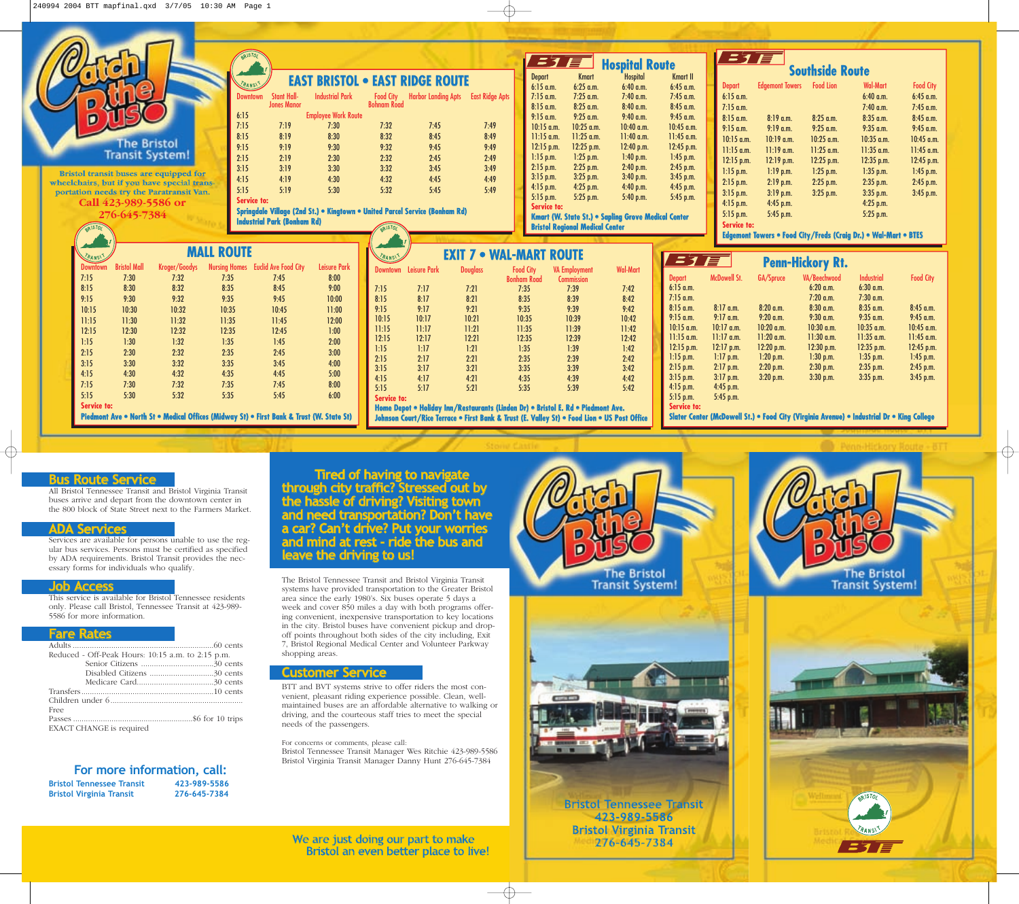

# **Bus Route Service**

All Bristol Tennessee Transit and Bristol Virginia Transit buses arrive and depart from the downtown center in the 800 block of State Street next to the Farmers Market.

### **ADA Services**

Services are available for persons unable to use the regular bus services. Persons must be certified as specified by ADA requirements. Bristol Transit provides the necessary forms for individuals who qualify.

#### **Job Access**

This service is available for Bristol Tennessee residents only. Please call Bristol, Tennessee Transit at 423-989- 5586 for more information.

## **Fare Rates**

| Reduced - Off-Peak Hours: 10:15 a.m. to 2:15 p.m. |  |
|---------------------------------------------------|--|
|                                                   |  |
|                                                   |  |
|                                                   |  |
|                                                   |  |
|                                                   |  |
| Free                                              |  |
|                                                   |  |
| EXACT CHANGE is required                          |  |

| For more information, call:      |              |
|----------------------------------|--------------|
| <b>Bristol Tennessee Transit</b> | 423-989-5586 |
| <b>Bristol Virginia Transit</b>  | 276-645-7384 |

**Tired of having to navigate through city traffic? Stressed out by the hassle of driving? Visiting town and need transportation? Don't have a car? Can't drive? Put your worries and mind at rest - ride the bus and leave the driving to us!** 

The Bristol Tennessee Transit and Bristol Virginia Transit systems have provided transportation to the Greater Bristol area since the early 1980's. Six buses operate 5 days a week and cover 850 miles a day with both programs offering convenient, inexpensive transportation to key locations in the city. Bristol buses have convenient pickup and dropoff points throughout both sides of the city including, Exit 7, Bristol Regional Medical Center and Volunteer Parkway shopping areas.

#### **Customer Service**

BTT and BVT systems strive to offer riders the most convenient, pleasant riding experience possible. Clean, wellmaintained buses are an affordable alternative to walking or driving, and the courteous staff tries to meet the special needs of the passengers.

For concerns or comments, please call: Bristol Tennessee Transit Manager Wes Ritchie 423-989-5586 Bristol Virginia Transit Manager Danny Hunt 276-645-7384

**We are just doing our part to make Bristol an even better place to live!**





**Bristol Tennessee Transit 423-989-5586 Bristol Virginia Transit 276-645-7384**